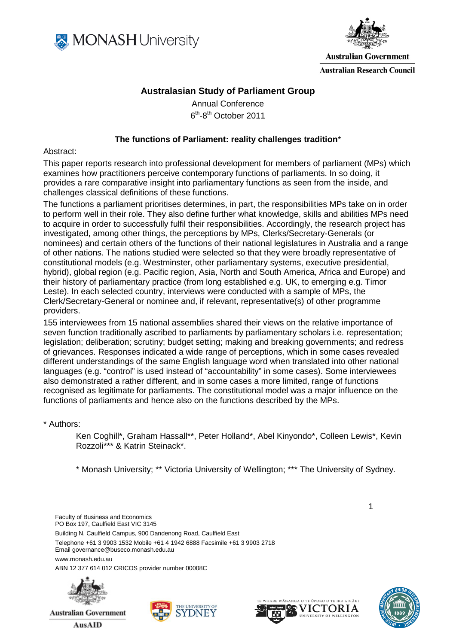



**Australian Government** 

**Australian Research Council** 

# **Australasian Study of Parliament Group**

Annual Conference 6th-8th October 2011

### **The functions of Parliament: reality challenges tradition**\*

### Abstract:

This paper reports research into professional development for members of parliament (MPs) which examines how practitioners perceive contemporary functions of parliaments. In so doing, it provides a rare comparative insight into parliamentary functions as seen from the inside, and challenges classical definitions of these functions.

The functions a parliament prioritises determines, in part, the responsibilities MPs take on in order to perform well in their role. They also define further what knowledge, skills and abilities MPs need to acquire in order to successfully fulfil their responsibilities. Accordingly, the research project has investigated, among other things, the perceptions by MPs, Clerks/Secretary-Generals (or nominees) and certain others of the functions of their national legislatures in Australia and a range of other nations. The nations studied were selected so that they were broadly representative of constitutional models (e.g. Westminster, other parliamentary systems, executive presidential, hybrid), global region (e.g. Pacific region, Asia, North and South America, Africa and Europe) and their history of parliamentary practice (from long established e.g. UK, to emerging e.g. Timor Leste). In each selected country, interviews were conducted with a sample of MPs, the Clerk/Secretary-General or nominee and, if relevant, representative(s) of other programme providers.

155 interviewees from 15 national assemblies shared their views on the relative importance of seven function traditionally ascribed to parliaments by parliamentary scholars i.e. representation; legislation; deliberation; scrutiny; budget setting; making and breaking governments; and redress of grievances. Responses indicated a wide range of perceptions, which in some cases revealed different understandings of the same English language word when translated into other national languages (e.g. "control" is used instead of "accountability" in some cases). Some interviewees also demonstrated a rather different, and in some cases a more limited, range of functions recognised as legitimate for parliaments. The constitutional model was a major influence on the functions of parliaments and hence also on the functions described by the MPs.

#### \* Authors:

Ken Coghill\*, Graham Hassall\*\*, Peter Holland\*, Abel Kinyondo\*, Colleen Lewis\*, Kevin Rozzoli\*\*\* & Katrin Steinack\*.

\* Monash University; \*\* Victoria University of Wellington; \*\*\* The University of Sydney.

Faculty of Business and Economics PO Box 197, Caulfield East VIC 3145 Building N, Caulfield Campus, 900 Dandenong Road, Caulfield East Telephone +61 3 9903 1532 Mobile +61 4 1942 6888 Facsimile +61 3 9903 2718 Email governance@buseco.monash.edu.au www.monash.edu.au ABN 12 377 614 012 CRICOS provider number 00008C



<span id="page-0-0"></span>**Australian Government** 

**AusAID** 





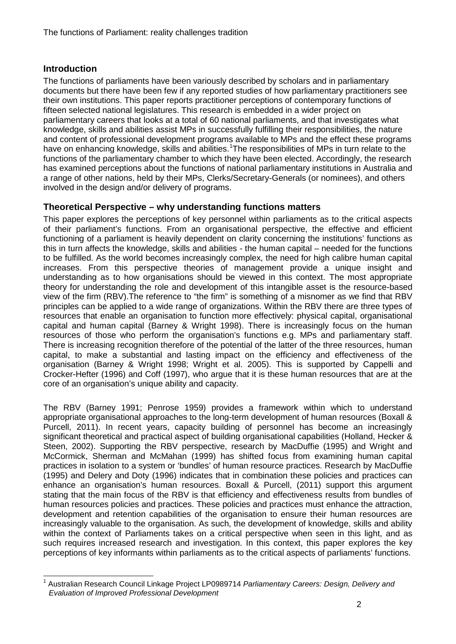# **Introduction**

The functions of parliaments have been variously described by scholars and in parliamentary documents but there have been few if any reported studies of how parliamentary practitioners see their own institutions. This paper reports practitioner perceptions of contemporary functions of fifteen selected national legislatures. This research is embedded in a wider project on parliamentary careers that looks at a total of 60 national parliaments, and that investigates what knowledge, skills and abilities assist MPs in successfully fulfilling their responsibilities, the nature and content of professional development programs available to MPs and the effect these programs have on enhancing knowledge, skills and abilities. <sup>[1](#page-0-0)</sup>The responsibilities of MPs in turn relate to the functions of the parliamentary chamber to which they have been elected. Accordingly, the research has examined perceptions about the functions of national parliamentary institutions in Australia and a range of other nations, held by their MPs, Clerks/Secretary-Generals (or nominees), and others involved in the design and/or delivery of programs.

## **Theoretical Perspective – why understanding functions matters**

This paper explores the perceptions of key personnel within parliaments as to the critical aspects of their parliament's functions. From an organisational perspective, the effective and efficient functioning of a parliament is heavily dependent on clarity concerning the institutions' functions as this in turn affects the knowledge, skills and abilities - the human capital – needed for the functions to be fulfilled. As the world becomes increasingly complex, the need for high calibre human capital increases. From this perspective theories of management provide a unique insight and understanding as to how organisations should be viewed in this context. The most appropriate theory for understanding the role and development of this intangible asset is the resource-based view of the firm (RBV).The reference to "the firm" is something of a misnomer as we find that RBV principles can be applied to a wide range of organizations. Within the RBV there are three types of resources that enable an organisation to function more effectively: physical capital, organisational capital and human capital (Barney & Wright 1998). There is increasingly focus on the human resources of those who perform the organisation's functions e.g. MPs and parliamentary staff. There is increasing recognition therefore of the potential of the latter of the three resources, human capital, to make a substantial and lasting impact on the efficiency and effectiveness of the organisation (Barney & Wright 1998; Wright et al. 2005). This is supported by Cappelli and Crocker-Hefter (1996) and Coff (1997), who argue that it is these human resources that are at the core of an organisation's unique ability and capacity.

The RBV (Barney 1991; Penrose 1959) provides a framework within which to understand appropriate organisational approaches to the long-term development of human resources (Boxall & Purcell, 2011). In recent years, capacity building of personnel has become an increasingly significant theoretical and practical aspect of building organisational capabilities (Holland, Hecker & Steen, 2002). Supporting the RBV perspective, research by MacDuffie (1995) and Wright and McCormick, Sherman and McMahan (1999) has shifted focus from examining human capital practices in isolation to a system or 'bundles' of human resource practices. Research by MacDuffie (1995) and Delery and Doty (1996) indicates that in combination these policies and practices can enhance an organisation's human resources. Boxall & Purcell, (2011) support this argument stating that the main focus of the RBV is that efficiency and effectiveness results from bundles of human resources policies and practices. These policies and practices must enhance the attraction, development and retention capabilities of the organisation to ensure their human resources are increasingly valuable to the organisation. As such, the development of knowledge, skills and ability within the context of Parliaments takes on a critical perspective when seen in this light, and as such requires increased research and investigation. In this context, this paper explores the key perceptions of key informants within parliaments as to the critical aspects of parliaments' functions.

<span id="page-1-0"></span> <sup>1</sup> Australian Research Council Linkage Project LP0989714 *Parliamentary Careers: Design, Delivery and Evaluation of Improved Professional Development*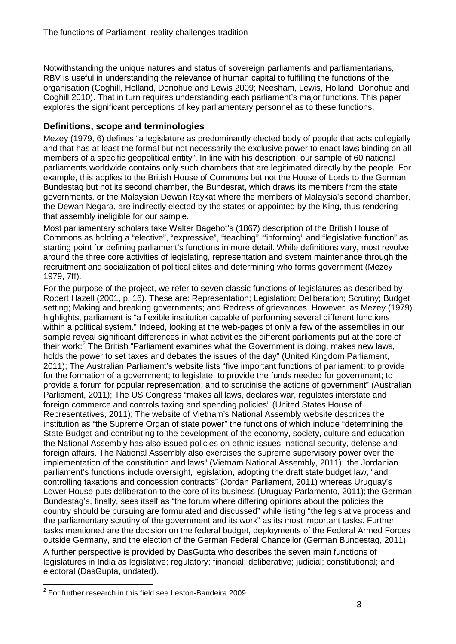Notwithstanding the unique natures and status of sovereign parliaments and parliamentarians, RBV is useful in understanding the relevance of human capital to fulfilling the functions of the organisation (Coghill, Holland, Donohue and Lewis 2009; Neesham, Lewis, Holland, Donohue and Coghill 2010). That in turn requires understanding each parliament's major functions. This paper explores the significant perceptions of key parliamentary personnel as to these functions.

# **Definitions, scope and terminologies**

Mezey (1979, 6) defines "a legislature as predominantly elected body of people that acts collegially and that has at least the formal but not necessarily the exclusive power to enact laws binding on all members of a specific geopolitical entity". In line with his description, our sample of 60 national parliaments worldwide contains only such chambers that are legitimated directly by the people. For example, this applies to the British House of Commons but not the House of Lords to the German Bundestag but not its second chamber, the Bundesrat, which draws its members from the state governments, or the Malaysian Dewan Raykat where the members of Malaysia's second chamber, the Dewan Negara, are indirectly elected by the states or appointed by the King, thus rendering that assembly ineligible for our sample.

Most parliamentary scholars take Walter Bagehot's (1867) description of the British House of Commons as holding a "elective", "expressive", "teaching", "informing" and "legislative function" as starting point for defining parliament's functions in more detail. While definitions vary, most revolve around the three core activities of legislating, representation and system maintenance through the recruitment and socialization of political elites and determining who forms government (Mezey 1979, 7ff).

For the purpose of the project, we refer to seven classic functions of legislatures as described by Robert Hazell (2001, p. 16). These are: Representation; Legislation; Deliberation; Scrutiny; Budget setting; Making and breaking governments; and Redress of grievances. However, as Mezey (1979) highlights, parliament is "a flexible institution capable of performing several different functions within a political system." Indeed, looking at the web-pages of only a few of the assemblies in our sample reveal significant differences in what activities the different parliaments put at the core of their work: $2$  The British "Parliament examines what the Government is doing, makes new laws, holds the power to set taxes and debates the issues of the day" (United Kingdom Parliament, 2011); The Australian Parliament's website lists "five important functions of parliament: to provide for the formation of a government; to legislate; to provide the funds needed for government; to provide a forum for popular representation; and to scrutinise the actions of government" (Australian Parliament, 2011); The US Congress "makes all laws, declares war, regulates interstate and foreign commerce and controls taxing and spending policies" (United States House of Representatives, 2011); The website of Vietnam's National Assembly website describes the institution as "the Supreme Organ of state power" the functions of which include "determining the State Budget and contributing to the development of the economy, society, culture and education the National Assembly has also issued policies on ethnic issues, national security, defense and foreign affairs. The National Assembly also exercises the supreme supervisory power over the implementation of the constitution and laws" (Vietnam National Assembly, 2011); the Jordanian parliament's functions include oversight, legislation, adopting the draft state budget law, "and controlling taxations and concession contracts" (Jordan Parliament, 2011) whereas Uruguay's Lower House puts deliberation to the core of its business (Uruguay Parlamento, 2011); the German Bundestag's, finally, sees itself as "the forum where differing opinions about the policies the country should be pursuing are formulated and discussed" while listing "the legislative process and the parliamentary scrutiny of the government and its work" as its most important tasks. Further tasks mentioned are the decision on the federal budget, deployments of the Federal Armed Forces outside Germany, and the election of the German Federal Chancellor (German Bundestag, 2011).

A further perspective is provided by DasGupta who describes the seven main functions of legislatures in India as legislative; regulatory; financial; deliberative; judicial; constitutional; and electoral (DasGupta, undated).

<span id="page-2-0"></span> $2$  For further research in this field see Leston-Bandeira 2009.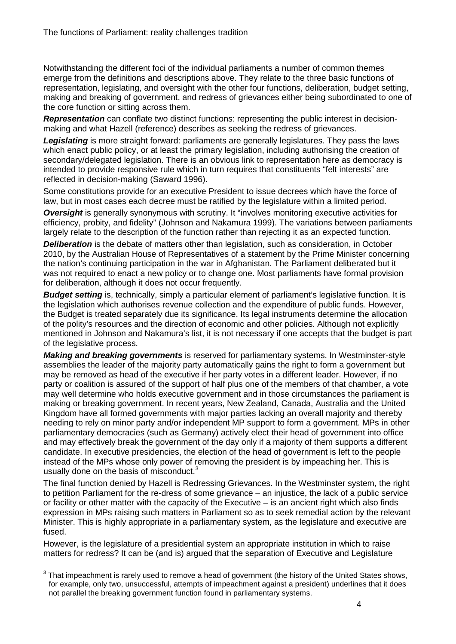Notwithstanding the different foci of the individual parliaments a number of common themes emerge from the definitions and descriptions above. They relate to the three basic functions of representation, legislating, and oversight with the other four functions, deliberation, budget setting, making and breaking of government, and redress of grievances either being subordinated to one of the core function or sitting across them.

*Representation* can conflate two distinct functions: representing the public interest in decisionmaking and what Hazell (reference) describes as seeking the redress of grievances.

**Legislating** is more straight forward: parliaments are generally legislatures. They pass the laws which enact public policy, or at least the primary legislation, including authorising the creation of secondary/delegated legislation. There is an obvious link to representation here as democracy is intended to provide responsive rule which in turn requires that constituents "felt interests" are reflected in decision-making (Saward 1996).

Some constitutions provide for an executive President to issue decrees which have the force of law, but in most cases each decree must be ratified by the legislature within a limited period.

*Oversight* is generally synonymous with scrutiny. It "involves monitoring executive activities for efficiency, probity, and fidelity" (Johnson and Nakamura 1999). The variations between parliaments largely relate to the description of the function rather than rejecting it as an expected function.

*Deliberation* is the debate of matters other than legislation, such as consideration, in October 2010, by the Australian House of Representatives of a statement by the Prime Minister concerning the nation's continuing participation in the war in Afghanistan. The Parliament deliberated but it was not required to enact a new policy or to change one. Most parliaments have formal provision for deliberation, although it does not occur frequently.

**Budget setting** is, technically, simply a particular element of parliament's legislative function. It is the legislation which authorises revenue collection and the expenditure of public funds. However, the Budget is treated separately due its significance. Its legal instruments determine the allocation of the polity's resources and the direction of economic and other policies. Although not explicitly mentioned in Johnson and Nakamura's list, it is not necessary if one accepts that the budget is part of the legislative process.

*Making and breaking governments* is reserved for parliamentary systems. In Westminster-style assemblies the leader of the majority party automatically gains the right to form a government but may be removed as head of the executive if her party votes in a different leader. However, if no party or coalition is assured of the support of half plus one of the members of that chamber, a vote may well determine who holds executive government and in those circumstances the parliament is making or breaking government. In recent years, New Zealand, Canada, Australia and the United Kingdom have all formed governments with major parties lacking an overall majority and thereby needing to rely on minor party and/or independent MP support to form a government. MPs in other parliamentary democracies (such as Germany) actively elect their head of government into office and may effectively break the government of the day only if a majority of them supports a different candidate. In executive presidencies, the election of the head of government is left to the people instead of the MPs whose only power of removing the president is by impeaching her. This is usually done on the basis of misconduct. $3$ 

The final function denied by Hazell is Redressing Grievances. In the Westminster system, the right to petition Parliament for the re-dress of some grievance – an injustice, the lack of a public service or facility or other matter with the capacity of the Executive – is an ancient right which also finds expression in MPs raising such matters in Parliament so as to seek remedial action by the relevant Minister. This is highly appropriate in a parliamentary system, as the legislature and executive are fused.

However, is the legislature of a presidential system an appropriate institution in which to raise matters for redress? It can be (and is) argued that the separation of Executive and Legislature

<span id="page-3-0"></span> $3$  That impeachment is rarely used to remove a head of government (the history of the United States shows, for example, only two, unsuccessful, attempts of impeachment against a president) underlines that it does not parallel the breaking government function found in parliamentary systems.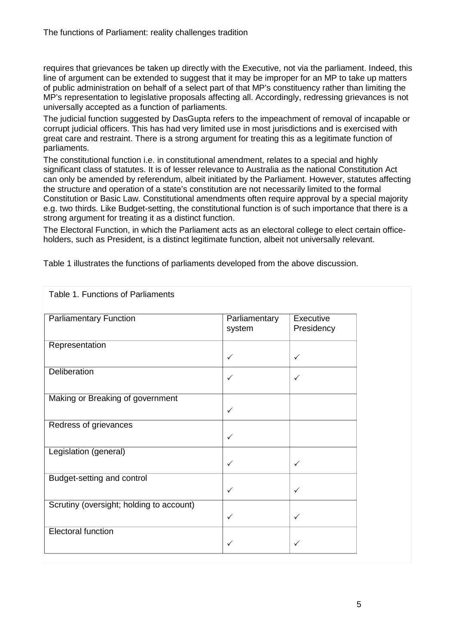Table 1. Functions of Parliaments

requires that grievances be taken up directly with the Executive, not via the parliament. Indeed, this line of argument can be extended to suggest that it may be improper for an MP to take up matters of public administration on behalf of a select part of that MP's constituency rather than limiting the MP's representation to legislative proposals affecting all. Accordingly, redressing grievances is not universally accepted as a function of parliaments.

The judicial function suggested by DasGupta refers to the impeachment of removal of incapable or corrupt judicial officers. This has had very limited use in most jurisdictions and is exercised with great care and restraint. There is a strong argument for treating this as a legitimate function of parliaments.

The constitutional function i.e. in constitutional amendment, relates to a special and highly significant class of statutes. It is of lesser relevance to Australia as the national Constitution Act can only be amended by referendum, albeit initiated by the Parliament. However, statutes affecting the structure and operation of a state's constitution are not necessarily limited to the formal Constitution or Basic Law. Constitutional amendments often require approval by a special majority e.g. two thirds. Like Budget-setting, the constitutional function is of such importance that there is a strong argument for treating it as a distinct function.

The Electoral Function, in which the Parliament acts as an electoral college to elect certain officeholders, such as President, is a distinct legitimate function, albeit not universally relevant.

| <b>Parliamentary Function</b>            | Parliamentary<br>system | Executive<br>Presidency |
|------------------------------------------|-------------------------|-------------------------|
| Representation                           |                         |                         |
|                                          | $\checkmark$            | $\checkmark$            |
| Deliberation                             | ✓                       | $\checkmark$            |
| Making or Breaking of government         |                         |                         |
|                                          | $\checkmark$            |                         |
| Redress of grievances                    |                         |                         |
|                                          | $\checkmark$            |                         |
| Legislation (general)                    |                         |                         |
|                                          | $\checkmark$            | $\checkmark$            |
| Budget-setting and control               |                         |                         |
|                                          | $\checkmark$            | $\checkmark$            |
| Scrutiny (oversight; holding to account) |                         |                         |
|                                          | $\checkmark$            | $\checkmark$            |
| <b>Electoral function</b>                |                         |                         |
|                                          | ✓                       | $\checkmark$            |

Table 1 illustrates the functions of parliaments developed from the above discussion.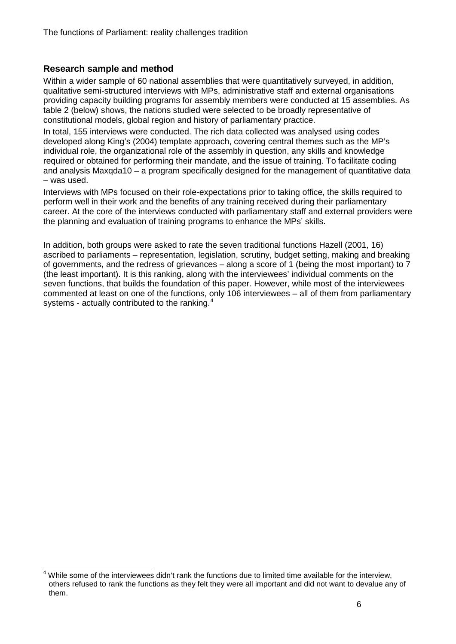## **Research sample and method**

Within a wider sample of 60 national assemblies that were quantitatively surveyed, in addition, qualitative semi-structured interviews with MPs, administrative staff and external organisations providing capacity building programs for assembly members were conducted at 15 assemblies. As table 2 (below) shows, the nations studied were selected to be broadly representative of constitutional models, global region and history of parliamentary practice.

In total, 155 interviews were conducted. The rich data collected was analysed using codes developed along King's (2004) template approach, covering central themes such as the MP's individual role, the organizational role of the assembly in question, any skills and knowledge required or obtained for performing their mandate, and the issue of training. To facilitate coding and analysis Maxqda10 – a program specifically designed for the management of quantitative data – was used.

Interviews with MPs focused on their role-expectations prior to taking office, the skills required to perform well in their work and the benefits of any training received during their parliamentary career. At the core of the interviews conducted with parliamentary staff and external providers were the planning and evaluation of training programs to enhance the MPs' skills.

In addition, both groups were asked to rate the seven traditional functions Hazell (2001, 16) ascribed to parliaments – representation, legislation, scrutiny, budget setting, making and breaking of governments, and the redress of grievances – along a score of 1 (being the most important) to 7 (the least important). It is this ranking, along with the interviewees' individual comments on the seven functions, that builds the foundation of this paper. However, while most of the interviewees commented at least on one of the functions, only 106 interviewees – all of them from parliamentary systems - actually contributed to the ranking.<sup>[4](#page-3-0)</sup>

<span id="page-5-0"></span> $4$  While some of the interviewees didn't rank the functions due to limited time available for the interview, others refused to rank the functions as they felt they were all important and did not want to devalue any of them.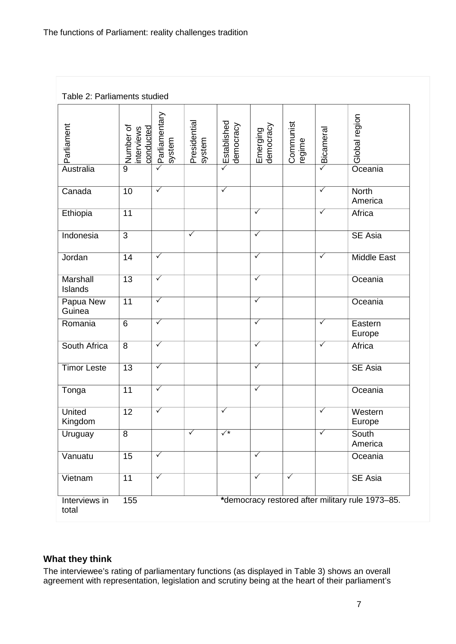| Table 2: Parliaments studied |                                      |                         |                         |                          |                         |                         |                         |                                                  |
|------------------------------|--------------------------------------|-------------------------|-------------------------|--------------------------|-------------------------|-------------------------|-------------------------|--------------------------------------------------|
| Parliament                   | Number of<br>conducted<br>interviews | Parliamentary<br>system | Presidential<br>system  | Established<br>democracy | democracy<br>Emerging   | Communist<br>regime     | $\triangle$ Bicameral   | Global region                                    |
| Australia                    | $\overline{9}$                       | $\overline{\checkmark}$ |                         | $\checkmark$             |                         |                         |                         | Oceania                                          |
| Canada                       | $\overline{10}$                      | $\overline{\checkmark}$ |                         | $\overline{\checkmark}$  |                         |                         | $\overline{\checkmark}$ | <b>North</b><br>America                          |
| Ethiopia                     | 11                                   |                         |                         |                          | $\overline{\checkmark}$ |                         | $\overline{\checkmark}$ | Africa                                           |
| Indonesia                    | $\overline{3}$                       |                         | $\checkmark$            |                          | $\overline{\checkmark}$ |                         |                         | SE Asia                                          |
| Jordan                       | 14                                   | $\checkmark$            |                         |                          | $\checkmark$            |                         | $\checkmark$            | <b>Middle East</b>                               |
| Marshall<br>Islands          | 13                                   | $\overline{\checkmark}$ |                         |                          | $\checkmark$            |                         |                         | Oceania                                          |
| Papua New<br>Guinea          | 11                                   | $\overline{\checkmark}$ |                         |                          | $\sqrt{}$               |                         |                         | Oceania                                          |
| Romania                      | $6\phantom{1}$                       | $\overline{\checkmark}$ |                         |                          | $\overline{\checkmark}$ |                         | $\overline{\checkmark}$ | Eastern<br>Europe                                |
| South Africa                 | 8                                    | $\checkmark$            |                         |                          | $\checkmark$            |                         | $\checkmark$            | Africa                                           |
| <b>Timor Leste</b>           | 13                                   | $\overline{\checkmark}$ |                         |                          | $\overline{\checkmark}$ |                         |                         | <b>SE Asia</b>                                   |
| Tonga                        | 11                                   | $\overline{\checkmark}$ |                         |                          | $\sqrt{}$               |                         |                         | Oceania                                          |
| <b>United</b><br>Kingdom     | $\overline{12}$                      | $\overline{\checkmark}$ |                         | ✓                        |                         |                         | $\overline{\checkmark}$ | Western<br>Europe                                |
| Uruguay                      | 8                                    |                         | $\overline{\checkmark}$ | $\checkmark^*$           |                         |                         | $\overline{\checkmark}$ | South<br>America                                 |
| Vanuatu                      | 15                                   | $\checkmark$            |                         |                          | $\overline{\checkmark}$ |                         |                         | Oceania                                          |
| Vietnam                      | 11                                   | $\checkmark$            |                         |                          | $\overline{\checkmark}$ | $\overline{\checkmark}$ |                         | <b>SE Asia</b>                                   |
| Interviews in<br>total       | 155                                  |                         |                         |                          |                         |                         |                         | *democracy restored after military rule 1973-85. |

# **What they think**

The interviewee's rating of parliamentary functions (as displayed in Table 3) shows an overall agreement with representation, legislation and scrutiny being at the heart of their parliament's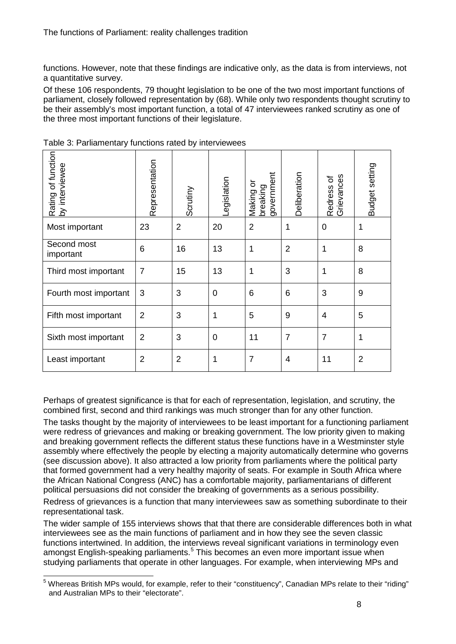functions. However, note that these findings are indicative only, as the data is from interviews, not a quantitative survey.

Of these 106 respondents, 79 thought legislation to be one of the two most important functions of parliament, closely followed representation by (68). While only two respondents thought scrutiny to be their assembly's most important function, a total of 47 interviewees ranked scrutiny as one of the three most important functions of their legislature.

| Rating of function<br>by interviewee | Representation | Scrutiny       | -egislation    | government<br>ŏ<br>breaking<br>Making | Deliberation   | Grievances<br>Redress of | Budget setting |
|--------------------------------------|----------------|----------------|----------------|---------------------------------------|----------------|--------------------------|----------------|
| Most important                       | 23             | $\overline{2}$ | 20             | $\overline{2}$                        | 1              | $\overline{0}$           | 1              |
| Second most<br>important             | 6              | 16             | 13             | 1                                     | $\overline{2}$ | 1                        | 8              |
| Third most important                 | $\overline{7}$ | 15             | 13             | 1                                     | 3              | $\mathbf{1}$             | 8              |
| Fourth most important                | 3              | 3              | $\overline{0}$ | 6                                     | 6              | 3                        | 9              |
| Fifth most important                 | $\overline{2}$ | 3              | 1              | 5                                     | 9              | $\overline{4}$           | 5              |
| Sixth most important                 | $\overline{2}$ | 3              | $\overline{0}$ | 11                                    | $\overline{7}$ | $\overline{7}$           | 1              |
| Least important                      | $\overline{2}$ | $\overline{2}$ | 1              | $\overline{7}$                        | $\overline{4}$ | 11                       | $\overline{2}$ |

Table 3: Parliamentary functions rated by interviewees

Perhaps of greatest significance is that for each of representation, legislation, and scrutiny, the combined first, second and third rankings was much stronger than for any other function.

The tasks thought by the majority of interviewees to be least important for a functioning parliament were redress of grievances and making or breaking government. The low priority given to making and breaking government reflects the different status these functions have in a Westminster style assembly where effectively the people by electing a majority automatically determine who governs (see discussion above). It also attracted a low priority from parliaments where the political party that formed government had a very healthy majority of seats. For example in South Africa where the African National Congress (ANC) has a comfortable majority, parliamentarians of different political persuasions did not consider the breaking of governments as a serious possibility.

Redress of grievances is a function that many interviewees saw as something subordinate to their representational task.

The wider sample of 155 interviews shows that that there are considerable differences both in what interviewees see as the main functions of parliament and in how they see the seven classic functions intertwined. In addition, the interviews reveal significant variations in terminology even amongst English-speaking parliaments.<sup>[5](#page-5-0)</sup> This becomes an even more important issue when studying parliaments that operate in other languages. For example, when interviewing MPs and

<span id="page-7-0"></span><sup>&</sup>lt;sup>5</sup> Whereas British MPs would, for example, refer to their "constituency", Canadian MPs relate to their "riding" and Australian MPs to their "electorate".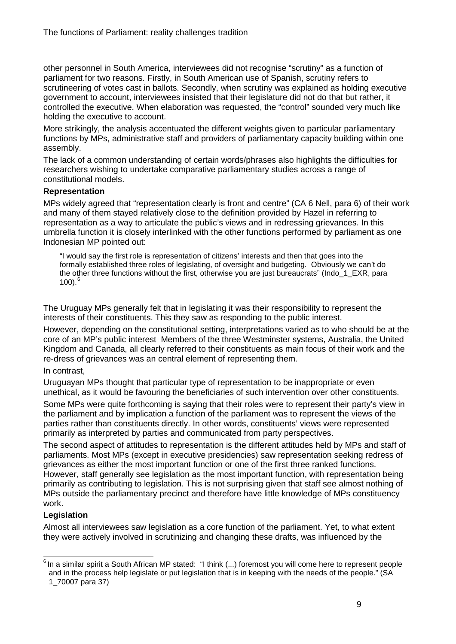other personnel in South America, interviewees did not recognise "scrutiny" as a function of parliament for two reasons. Firstly, in South American use of Spanish, scrutiny refers to scrutineering of votes cast in ballots. Secondly, when scrutiny was explained as holding executive government to account, interviewees insisted that their legislature did not do that but rather, it controlled the executive. When elaboration was requested, the "control" sounded very much like holding the executive to account.

More strikingly, the analysis accentuated the different weights given to particular parliamentary functions by MPs, administrative staff and providers of parliamentary capacity building within one assembly.

The lack of a common understanding of certain words/phrases also highlights the difficulties for researchers wishing to undertake comparative parliamentary studies across a range of constitutional models.

### **Representation**

MPs widely agreed that "representation clearly is front and centre" (CA 6 Nell, para 6) of their work and many of them stayed relatively close to the definition provided by Hazel in referring to representation as a way to articulate the public's views and in redressing grievances. In this umbrella function it is closely interlinked with the other functions performed by parliament as one Indonesian MP pointed out:

"I would say the first role is representation of citizens' interests and then that goes into the formally established three roles of legislating, of oversight and budgeting. Obviously we can't do the other three functions without the first, otherwise you are just bureaucrats" (Indo 1 EXR, para  $100$ ). $^{6}$  $^{6}$  $^{6}$ 

The Uruguay MPs generally felt that in legislating it was their responsibility to represent the interests of their constituents. This they saw as responding to the public interest.

However, depending on the constitutional setting, interpretations varied as to who should be at the core of an MP's public interest Members of the three Westminster systems, Australia, the United Kingdom and Canada, all clearly referred to their constituents as main focus of their work and the re-dress of grievances was an central element of representing them.

### In contrast,

Uruguayan MPs thought that particular type of representation to be inappropriate or even unethical, as it would be favouring the beneficiaries of such intervention over other constituents.

Some MPs were quite forthcoming is saying that their roles were to represent their party's view in the parliament and by implication a function of the parliament was to represent the views of the parties rather than constituents directly. In other words, constituents' views were represented primarily as interpreted by parties and communicated from party perspectives.

The second aspect of attitudes to representation is the different attitudes held by MPs and staff of parliaments. Most MPs (except in executive presidencies) saw representation seeking redress of grievances as either the most important function or one of the first three ranked functions. However, staff generally see legislation as the most important function, with representation being primarily as contributing to legislation. This is not surprising given that staff see almost nothing of MPs outside the parliamentary precinct and therefore have little knowledge of MPs constituency work.

### **Legislation**

Almost all interviewees saw legislation as a core function of the parliament. Yet, to what extent they were actively involved in scrutinizing and changing these drafts, was influenced by the

<span id="page-8-0"></span> $6$  In a similar spirit a South African MP stated: "I think (...) foremost you will come here to represent people and in the process help legislate or put legislation that is in keeping with the needs of the people." (SA 1\_70007 para 37)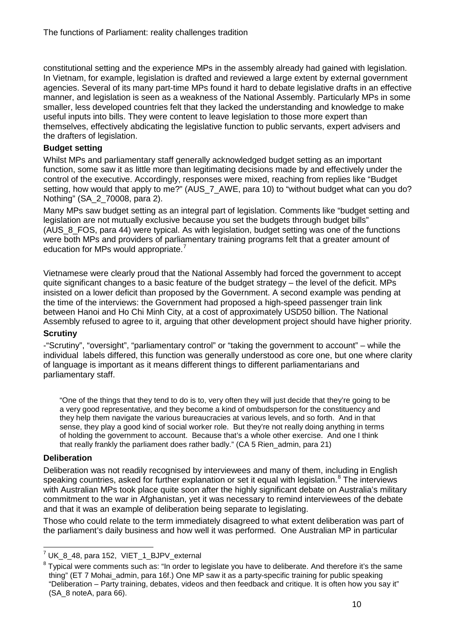constitutional setting and the experience MPs in the assembly already had gained with legislation. In Vietnam, for example, legislation is drafted and reviewed a large extent by external government agencies. Several of its many part-time MPs found it hard to debate legislative drafts in an effective manner, and legislation is seen as a weakness of the National Assembly. Particularly MPs in some smaller, less developed countries felt that they lacked the understanding and knowledge to make useful inputs into bills. They were content to leave legislation to those more expert than themselves, effectively abdicating the legislative function to public servants, expert advisers and the drafters of legislation.

### **Budget setting**

Whilst MPs and parliamentary staff generally acknowledged budget setting as an important function, some saw it as little more than legitimating decisions made by and effectively under the control of the executive. Accordingly, responses were mixed, reaching from replies like "Budget setting, how would that apply to me?" (AUS\_7\_AWE, para 10) to "without budget what can you do? Nothing" (SA\_2\_70008, para 2).

Many MPs saw budget setting as an integral part of legislation. Comments like "budget setting and legislation are not mutually exclusive because you set the budgets through budget bills" (AUS 8 FOS, para 44) were typical. As with legislation, budget setting was one of the functions were both MPs and providers of parliamentary training programs felt that a greater amount of education for MPs would appropriate.<sup>[7](#page-8-0)</sup>

Vietnamese were clearly proud that the National Assembly had forced the government to accept quite significant changes to a basic feature of the budget strategy – the level of the deficit. MPs insisted on a lower deficit than proposed by the Government. A second example was pending at the time of the interviews: the Government had proposed a high-speed passenger train link between Hanoi and Ho Chi Minh City, at a cost of approximately USD50 billion. The National Assembly refused to agree to it, arguing that other development project should have higher priority.

### **Scrutiny**

-"Scrutiny", "oversight", "parliamentary control" or "taking the government to account" – while the individual labels differed, this function was generally understood as core one, but one where clarity of language is important as it means different things to different parliamentarians and parliamentary staff.

"One of the things that they tend to do is to, very often they will just decide that they're going to be a very good representative, and they become a kind of ombudsperson for the constituency and they help them navigate the various bureaucracies at various levels, and so forth. And in that sense, they play a good kind of social worker role. But they're not really doing anything in terms of holding the government to account. Because that's a whole other exercise. And one I think that really frankly the parliament does rather badly." (CA 5 Rien\_admin, para 21)

### **Deliberation**

Deliberation was not readily recognised by interviewees and many of them, including in English speaking countries, asked for further explanation or set it equal with legislation.<sup>[8](#page-9-0)</sup> The interviews with Australian MPs took place quite soon after the highly significant debate on Australia's military commitment to the war in Afghanistan, yet it was necessary to remind interviewees of the debate and that it was an example of deliberation being separate to legislating.

Those who could relate to the term immediately disagreed to what extent deliberation was part of the parliament's daily business and how well it was performed. One Australian MP in particular

<span id="page-9-1"></span> $<sup>7</sup>$  UK  $<sup>8</sup>$  48, para 152, VIET 1 BJPV external</sup></sup>

<span id="page-9-0"></span><sup>&</sup>lt;sup>8</sup> Typical were comments such as: "In order to legislate you have to deliberate. And therefore it's the same thing" (ET 7 Mohai admin, para 16f.) One MP saw it as a party-specific training for public speaking "Deliberation – Party training, debates, videos and then feedback and critique. It is often how you say it" (SA\_8 noteA, para 66).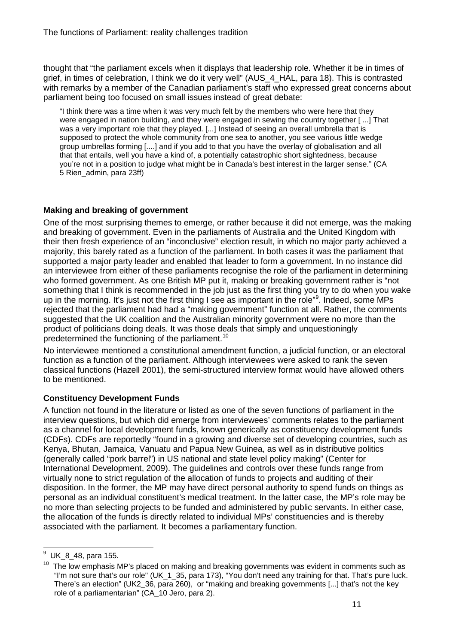thought that "the parliament excels when it displays that leadership role. Whether it be in times of grief, in times of celebration, I think we do it very well" (AUS\_4\_HAL, para 18). This is contrasted with remarks by a member of the Canadian parliament's staff who expressed great concerns about parliament being too focused on small issues instead of great debate:

"I think there was a time when it was very much felt by the members who were here that they were engaged in nation building, and they were engaged in sewing the country together [ ...] That was a very important role that they played. [...] Instead of seeing an overall umbrella that is supposed to protect the whole community from one sea to another, you see various little wedge group umbrellas forming [....] and if you add to that you have the overlay of globalisation and all that that entails, well you have a kind of, a potentially catastrophic short sightedness, because you're not in a position to judge what might be in Canada's best interest in the larger sense." (CA 5 Rien\_admin, para 23ff)

## **Making and breaking of government**

One of the most surprising themes to emerge, or rather because it did not emerge, was the making and breaking of government. Even in the parliaments of Australia and the United Kingdom with their then fresh experience of an "inconclusive" election result, in which no major party achieved a majority, this barely rated as a function of the parliament. In both cases it was the parliament that supported a major party leader and enabled that leader to form a government. In no instance did an interviewee from either of these parliaments recognise the role of the parliament in determining who formed government. As one British MP put it, making or breaking government rather is "not something that I think is recommended in the job just as the first thing you try to do when you wake up in the morning. It's just not the first thing I see as important in the role"<sup>[9](#page-9-1)</sup>. Indeed, some MPs rejected that the parliament had had a "making government" function at all. Rather, the comments suggested that the UK coalition and the Australian minority government were no more than the product of politicians doing deals. It was those deals that simply and unquestioningly predetermined the functioning of the parliament.<sup>[10](#page-10-0)</sup>

No interviewee mentioned a constitutional amendment function, a judicial function, or an electoral function as a function of the parliament. Although interviewees were asked to rank the seven classical functions (Hazell 2001), the semi-structured interview format would have allowed others to be mentioned.

## **Constituency Development Funds**

A function not found in the literature or listed as one of the seven functions of parliament in the interview questions, but which did emerge from interviewees' comments relates to the parliament as a channel for local development funds, known generically as constituency development funds (CDFs). CDFs are reportedly "found in a growing and diverse set of developing countries, such as Kenya, Bhutan, Jamaica, Vanuatu and Papua New Guinea, as well as in distributive politics (generally called "pork barrel") in US national and state level policy making" (Center for International Development, 2009). The guidelines and controls over these funds range from virtually none to strict regulation of the allocation of funds to projects and auditing of their disposition. In the former, the MP may have direct personal authority to spend funds on things as personal as an individual constituent's medical treatment. In the latter case, the MP's role may be no more than selecting projects to be funded and administered by public servants. In either case, the allocation of the funds is directly related to individual MPs' constituencies and is thereby associated with the parliament. It becomes a parliamentary function.

 <sup>9</sup> UK\_8\_48, para 155.

<span id="page-10-0"></span> $10$  The low emphasis MP's placed on making and breaking governments was evident in comments such as "I'm not sure that's our role" (UK\_1\_35, para 173), "You don't need any training for that. That's pure luck. There's an election" (UK2\_36, para 260), or "making and breaking governments [...] that's not the key role of a parliamentarian" (CA\_10 Jero, para 2).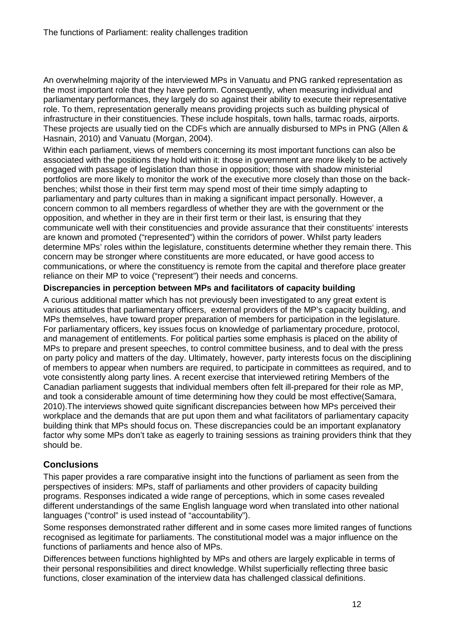An overwhelming majority of the interviewed MPs in Vanuatu and PNG ranked representation as the most important role that they have perform. Consequently, when measuring individual and parliamentary performances, they largely do so against their ability to execute their representative role. To them, representation generally means providing projects such as building physical of infrastructure in their constituencies. These include hospitals, town halls, tarmac roads, airports. These projects are usually tied on the CDFs which are annually disbursed to MPs in PNG (Allen & Hasnain, 2010) and Vanuatu (Morgan, 2004).

Within each parliament, views of members concerning its most important functions can also be associated with the positions they hold within it: those in government are more likely to be actively engaged with passage of legislation than those in opposition; those with shadow ministerial portfolios are more likely to monitor the work of the executive more closely than those on the backbenches; whilst those in their first term may spend most of their time simply adapting to parliamentary and party cultures than in making a significant impact personally. However, a concern common to all members regardless of whether they are with the government or the opposition, and whether in they are in their first term or their last, is ensuring that they communicate well with their constituencies and provide assurance that their constituents' interests are known and promoted ("represented") within the corridors of power. Whilst party leaders determine MPs' roles within the legislature, constituents determine whether they remain there. This concern may be stronger where constituents are more educated, or have good access to communications, or where the constituency is remote from the capital and therefore place greater reliance on their MP to voice ("represent") their needs and concerns.

## **Discrepancies in perception between MPs and facilitators of capacity building**

A curious additional matter which has not previously been investigated to any great extent is various attitudes that parliamentary officers, external providers of the MP's capacity building, and MPs themselves, have toward proper preparation of members for participation in the legislature. For parliamentary officers, key issues focus on knowledge of parliamentary procedure, protocol, and management of entitlements. For political parties some emphasis is placed on the ability of MPs to prepare and present speeches, to control committee business, and to deal with the press on party policy and matters of the day. Ultimately, however, party interests focus on the disciplining of members to appear when numbers are required, to participate in committees as required, and to vote consistently along party lines. A recent exercise that interviewed retiring Members of the Canadian parliament suggests that individual members often felt ill-prepared for their role as MP, and took a considerable amount of time determining how they could be most effective(Samara, 2010).The interviews showed quite significant discrepancies between how MPs perceived their workplace and the demands that are put upon them and what facilitators of parliamentary capacity building think that MPs should focus on. These discrepancies could be an important explanatory factor why some MPs don't take as eagerly to training sessions as training providers think that they should be.

# **Conclusions**

This paper provides a rare comparative insight into the functions of parliament as seen from the perspectives of insiders: MPs, staff of parliaments and other providers of capacity building programs. Responses indicated a wide range of perceptions, which in some cases revealed different understandings of the same English language word when translated into other national languages ("control" is used instead of "accountability").

Some responses demonstrated rather different and in some cases more limited ranges of functions recognised as legitimate for parliaments. The constitutional model was a major influence on the functions of parliaments and hence also of MPs.

Differences between functions highlighted by MPs and others are largely explicable in terms of their personal responsibilities and direct knowledge. Whilst superficially reflecting three basic functions, closer examination of the interview data has challenged classical definitions.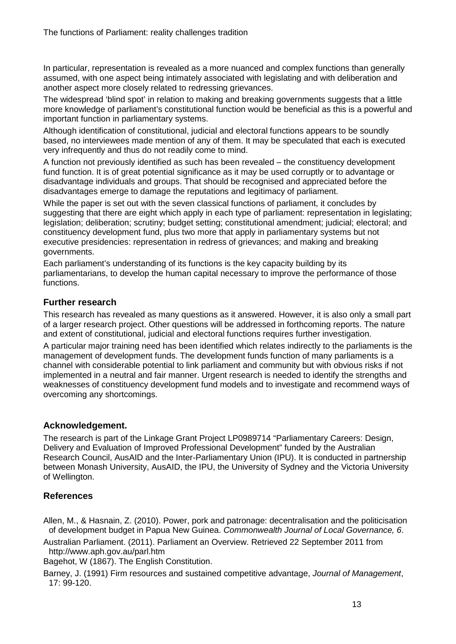In particular, representation is revealed as a more nuanced and complex functions than generally assumed, with one aspect being intimately associated with legislating and with deliberation and another aspect more closely related to redressing grievances.

The widespread 'blind spot' in relation to making and breaking governments suggests that a little more knowledge of parliament's constitutional function would be beneficial as this is a powerful and important function in parliamentary systems.

Although identification of constitutional, judicial and electoral functions appears to be soundly based, no interviewees made mention of any of them. It may be speculated that each is executed very infrequently and thus do not readily come to mind.

A function not previously identified as such has been revealed – the constituency development fund function. It is of great potential significance as it may be used corruptly or to advantage or disadvantage individuals and groups. That should be recognised and appreciated before the disadvantages emerge to damage the reputations and legitimacy of parliament.

While the paper is set out with the seven classical functions of parliament, it concludes by suggesting that there are eight which apply in each type of parliament: representation in legislating; legislation; deliberation; scrutiny; budget setting; constitutional amendment; judicial; electoral; and constituency development fund, plus two more that apply in parliamentary systems but not executive presidencies: representation in redress of grievances; and making and breaking governments.

Each parliament's understanding of its functions is the key capacity building by its parliamentarians, to develop the human capital necessary to improve the performance of those functions.

# **Further research**

This research has revealed as many questions as it answered. However, it is also only a small part of a larger research project. Other questions will be addressed in forthcoming reports. The nature and extent of constitutional, judicial and electoral functions requires further investigation.

A particular major training need has been identified which relates indirectly to the parliaments is the management of development funds. The development funds function of many parliaments is a channel with considerable potential to link parliament and community but with obvious risks if not implemented in a neutral and fair manner. Urgent research is needed to identify the strengths and weaknesses of constituency development fund models and to investigate and recommend ways of overcoming any shortcomings.

# **Acknowledgement.**

The research is part of the Linkage Grant Project LP0989714 "Parliamentary Careers: Design, Delivery and Evaluation of Improved Professional Development" funded by the Australian Research Council, AusAID and the Inter-Parliamentary Union (IPU). It is conducted in partnership between Monash University, AusAID, the IPU, the University of Sydney and the Victoria University of Wellington.

# **References**

Allen, M., & Hasnain, Z. (2010). Power, pork and patronage: decentralisation and the politicisation of development budget in Papua New Guinea. *Commonwealth Journal of Local Governance, 6*.

Australian Parliament. (2011). Parliament an Overview. Retrieved 22 September 2011 from http://www.aph.gov.au/parl.htm

Bagehot, W (1867). The English Constitution.

Barney, J. (1991) Firm resources and sustained competitive advantage, *Journal of Management*, 17: 99-120.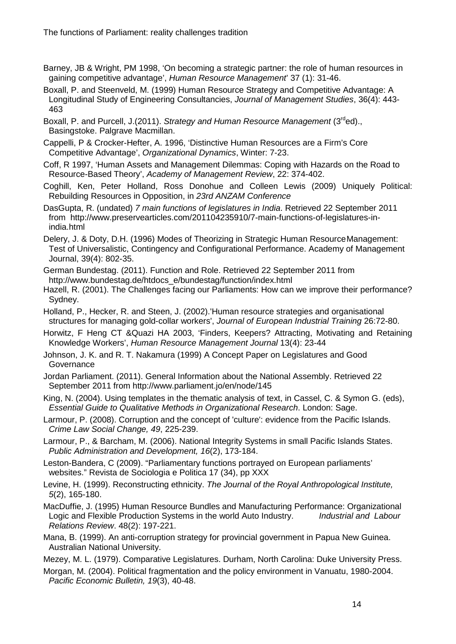- Barney, JB & Wright, PM 1998, 'On becoming a strategic partner: the role of human resources in gaining competitive advantage', *Human Resource Management*' 37 (1): 31-46.
- Boxall, P. and Steenveld, M. (1999) Human Resource Strategy and Competitive Advantage: A Longitudinal Study of Engineering Consultancies, *Journal of Management Studies*, 36(4): 443- 463
- Boxall, P. and Purcell, J.(2011). *Strategy and Human Resource Management* (3rded)., Basingstoke. Palgrave Macmillan.
- Cappelli, P & Crocker-Hefter, A. 1996, 'Distinctive Human Resources are a Firm's Core Competitive Advantage', *Organizational Dynamics*, Winter: 7-23.
- Coff, R 1997, 'Human Assets and Management Dilemmas: Coping with Hazards on the Road to Resource-Based Theory', *Academy of Management Review*, 22: 374-402.
- Coghill, Ken, Peter Holland, Ross Donohue and Colleen Lewis (2009) Uniquely Political: Rebuilding Resources in Opposition, in *23rd ANZAM Conference*
- DasGupta, R. (undated) *7 main functions of legislatures in India*. Retrieved 22 September 2011 from http://www.preservearticles.com/201104235910/7-main-functions-of-legislatures-inindia.html
- Delery, J. & Doty, D.H. (1996) Modes of Theorizing in Strategic Human ResourceManagement: Test of Universalistic, Contingency and Configurational Performance. Academy of Management Journal, 39(4): 802-35.
- German Bundestag. (2011). Function and Role. Retrieved 22 September 2011 from http://www.bundestag.de/htdocs\_e/bundestag/function/index.html
- Hazell, R. (2001). The Challenges facing our Parliaments: How can we improve their performance? Sydney.
- Holland, P., Hecker, R. and Steen, J. (2002).'Human resource strategies and organisational structures for managing gold-collar workers', *Journal of European Industrial Training* 26:72-80.
- Horwitz, F Heng CT &Quazi HA 2003, 'Finders, Keepers? Attracting, Motivating and Retaining Knowledge Workers', *Human Resource Management Journal* 13(4): 23-44
- Johnson, J. K. and R. T. Nakamura (1999) A Concept Paper on Legislatures and Good **Governance**
- Jordan Parliament. (2011). General Information about the National Assembly. Retrieved 22 September 2011 from http://www.parliament.jo/en/node/145
- King, N. (2004). Using templates in the thematic analysis of text, in Cassel, C. & Symon G. (eds), *Essential Guide to Qualitative Methods in Organizational Research*. London: Sage.
- Larmour, P. (2008). Corruption and the concept of 'culture': evidence from the Pacific Islands. *Crime Law Social Change, 49*, 225-239.
- Larmour, P., & Barcham, M. (2006). National Integrity Systems in small Pacific Islands States. *Public Administration and Development, 16*(2), 173-184.
- Leston-Bandera, C (2009). "Parliamentary functions portrayed on European parliaments' websites." Revista de Sociologia e Politica 17 (34), pp XXX
- Levine, H. (1999). Reconstructing ethnicity. *The Journal of the Royal Anthropological Institute, 5*(2), 165-180.
- MacDuffie, J. (1995) Human Resource Bundles and Manufacturing Performance: Organizational<br>Logic and Flexible Production Systems in the world Auto Industry. *Industrial and Labour* Logic and Flexible Production Systems in the world Auto Industry. *Relations Review*. 48(2): 197-221.
- Mana, B. (1999). An anti-corruption strategy for provincial government in Papua New Guinea. Australian National University.
- Mezey, M. L. (1979). Comparative Legislatures. Durham, North Carolina: Duke University Press.
- Morgan, M. (2004). Political fragmentation and the policy environment in Vanuatu, 1980-2004. *Pacific Economic Bulletin, 19*(3), 40-48.